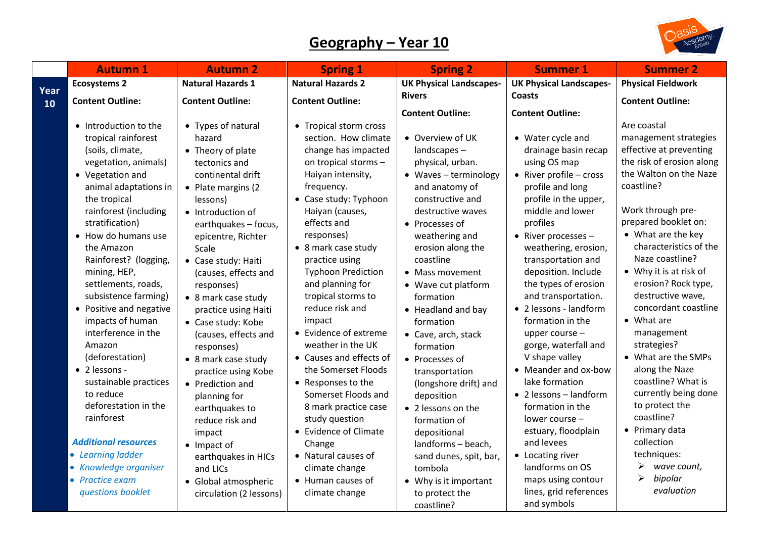## **Geography – Year 10**

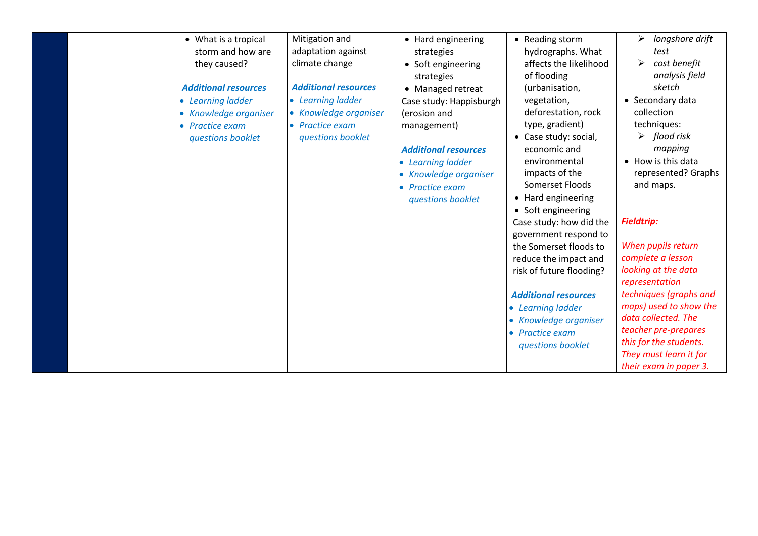| • What is a tropical<br>storm and how are<br>they caused?<br><b>Additional resources</b><br>• Learning ladder<br>• Knowledge organiser<br>• Practice exam<br>questions booklet | Mitigation and<br>adaptation against<br>climate change<br><b>Additional resources</b><br>• Learning ladder<br>• Knowledge organiser<br>• Practice exam<br>questions booklet | • Hard engineering<br>strategies<br>• Soft engineering<br>strategies<br>• Managed retreat<br>Case study: Happisburgh<br>(erosion and<br>management)<br><b>Additional resources</b><br>• Learning ladder<br>• Knowledge organiser<br>• Practice exam<br>questions booklet | • Reading storm<br>hydrographs. What<br>affects the likelihood<br>of flooding<br>(urbanisation,<br>vegetation,<br>deforestation, rock<br>type, gradient)<br>• Case study: social,<br>economic and<br>environmental<br>impacts of the<br>Somerset Floods<br>• Hard engineering<br>• Soft engineering<br>Case study: how did the<br>government respond to<br>the Somerset floods to<br>reduce the impact and<br>risk of future flooding?<br><b>Additional resources</b><br>• Learning ladder<br>• Knowledge organiser<br>• Practice exam<br>questions booklet | ➤<br>longshore drift<br>test<br>➤<br>cost benefit<br>analysis field<br>sketch<br>• Secondary data<br>collection<br>techniques:<br>flood risk<br>➤<br>mapping<br>• How is this data<br>represented? Graphs<br>and maps.<br><b>Fieldtrip:</b><br>When pupils return<br>complete a lesson<br>looking at the data<br>representation<br>techniques (graphs and<br>maps) used to show the<br>data collected. The<br>teacher pre-prepares<br>this for the students. |
|--------------------------------------------------------------------------------------------------------------------------------------------------------------------------------|-----------------------------------------------------------------------------------------------------------------------------------------------------------------------------|--------------------------------------------------------------------------------------------------------------------------------------------------------------------------------------------------------------------------------------------------------------------------|-------------------------------------------------------------------------------------------------------------------------------------------------------------------------------------------------------------------------------------------------------------------------------------------------------------------------------------------------------------------------------------------------------------------------------------------------------------------------------------------------------------------------------------------------------------|--------------------------------------------------------------------------------------------------------------------------------------------------------------------------------------------------------------------------------------------------------------------------------------------------------------------------------------------------------------------------------------------------------------------------------------------------------------|
|                                                                                                                                                                                |                                                                                                                                                                             |                                                                                                                                                                                                                                                                          |                                                                                                                                                                                                                                                                                                                                                                                                                                                                                                                                                             | They must learn it for<br>their exam in paper 3.                                                                                                                                                                                                                                                                                                                                                                                                             |